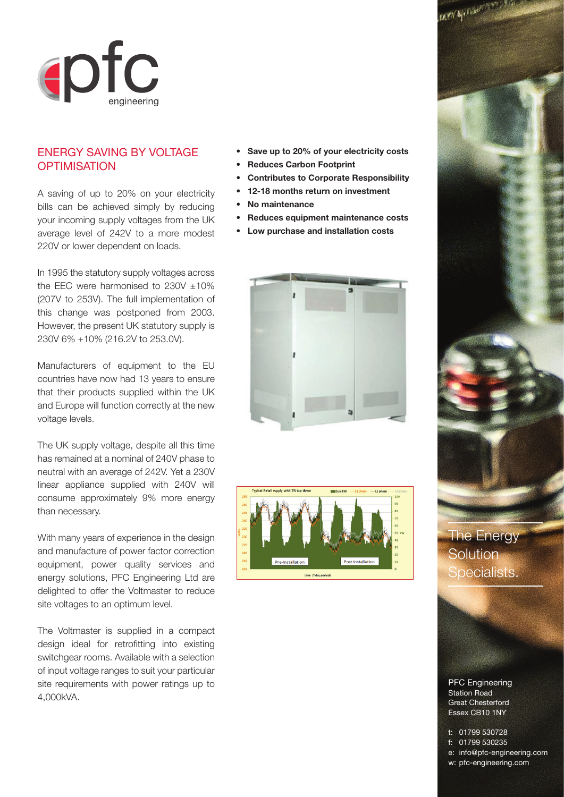

## ENERGY SAVING BY VOLTAGE **OPTIMISATION**

A saving of up to 20% on your electricity bills can be achieved simply by reducing your incoming supply voltages from the UK average level of 242V to a more modest 220V or lower dependent on loads.

In 1995 the statutory supply voltages across the EEC were harmonised to  $230V \pm 10\%$ (207V to 253V). The full implementation of this change was postponed from 2003. However, the present UK statutory supply is 230V 6% +10% (216.2V to 253.0V).

Manufacturers of equipment to the EU countries have now had 13 years to ensure that their products supplied within the UK and Europe will function correctly at the new voltage levels.

The UK supply voltage, despite all this time has remained at a nominal of 240V phase to neutral with an average of 242V. Yet a 230V linear appliance supplied with 240V will consume approximately 9% more energy than necessary.

With many years of experience in the design and manufacture of power factor correction equipment, power quality services and energy solutions, PFC Engineering Ltd are delighted to offer the Voltmaster to reduce site voltages to an optimum level.

The Voltmaster is supplied in a compact design ideal for retrofitting into existing switchgear rooms. Available with a selection of input voltage ranges to suit your particular site requirements with power ratings up to 4,000kVA.

- **Save up to 20% of your electricity costs**
- **Reduces Carbon Footprint**
- **Contributes to Corporate Responsibility**
- **12-18 months return on investment**
	- **No maintenance**
- **Reduces equipment maintenance costs**
- **Low purchase and installation costs**







The Energy **Solution** Specialists.

PFC Engineering Station Road Great Chesterford Essex CB10 1NY

t: 01799 530728 f: 01799 530235 e: info@pfc-engineering.com w: pfc-engineering.com